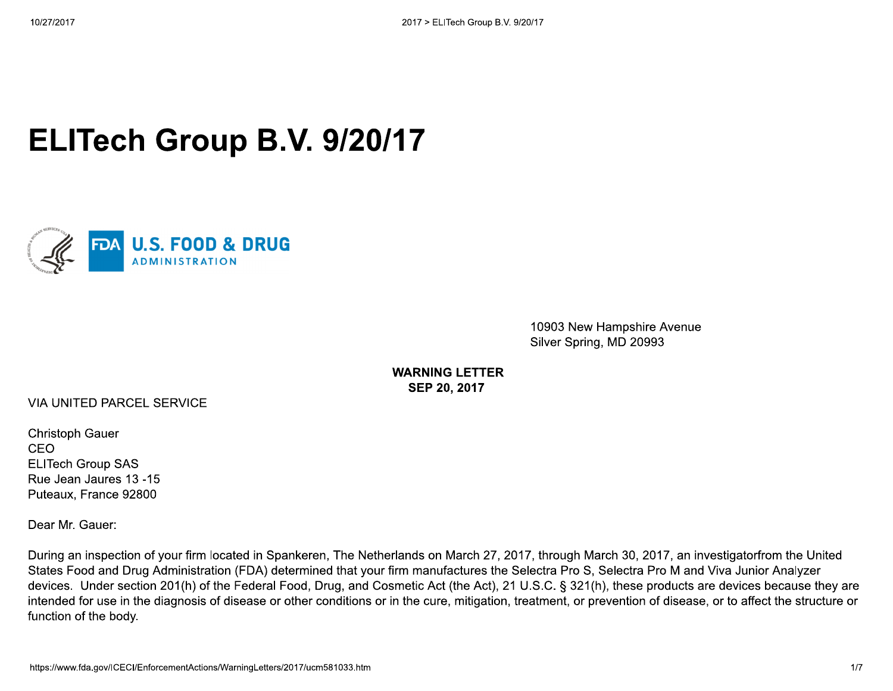## **ELITech Group B.V. 9/20/17**



10903 New Hampshire Avenue Silver Spring, MD 20993

**WARNING LETTER** SEP 20, 2017

VIA UNITED PARCEL SERVICE

**Christoph Gauer** CEO **ELITech Group SAS** Rue Jean Jaures 13 -15 Puteaux, France 92800

Dear Mr. Gauer:

During an inspection of your firm located in Spankeren, The Netherlands on March 27, 2017, through March 30, 2017, an investigatorfrom the United States Food and Drug Administration (FDA) determined that your firm manufactures the Selectra Pro S, Selectra Pro M and Viva Junior Analyzer devices. Under section 201(h) of the Federal Food, Drug, and Cosmetic Act (the Act), 21 U.S.C. § 321(h), these products are devices because they are intended for use in the diagnosis of disease or other conditions or in the cure, mitigation, treatment, or prevention of disease, or to affect the structure or function of the body.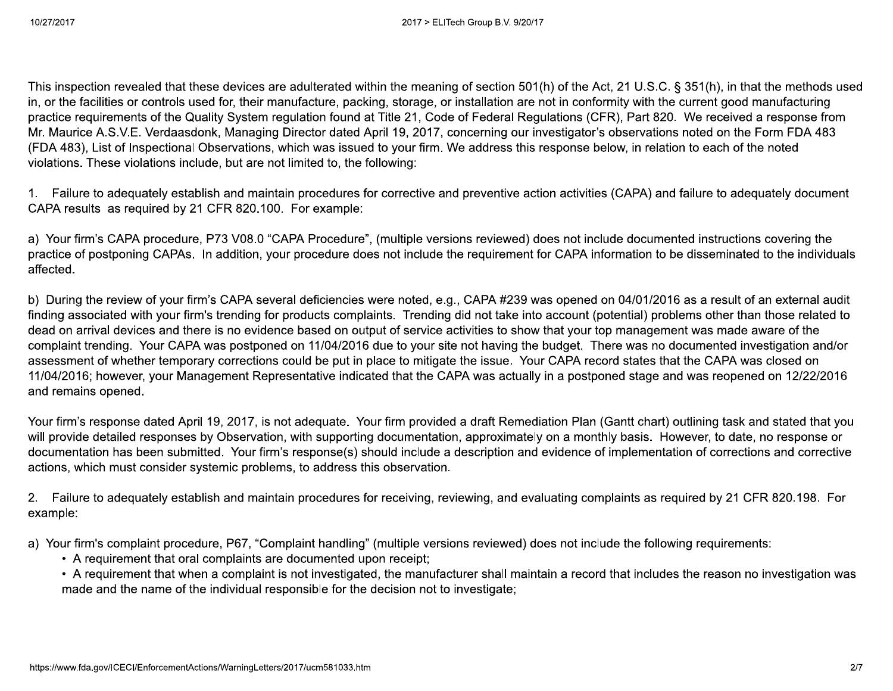This inspection revealed that these devices are adulterated within the meaning of section 501(h) of the Act, 21 U.S.C. § 351(h), in that the methods used in, or the facilities or controls used for, their manufacture, packing, storage, or installation are not in conformity with the current good manufacturing practice requirements of the Quality System requlation found at Title 21, Code of Federal Requlations (CFR), Part 820. We received a response from Mr. Maurice A.S.V.E. Verdaasdonk, Managing Director dated April 19, 2017, concerning our investigator's observations noted on the Form FDA 483 (FDA 483), List of Inspectional Observations, which was issued to your firm. We address this response below, in relation to each of the noted violations. These violations include, but are not limited to, the following:

1. Failure to adequately establish and maintain procedures for corrective and preventive action activities (CAPA) and failure to adequately document CAPA results as required by 21 CFR 820.100. For example:

a) Your firm's CAPA procedure, P73 V08.0 "CAPA Procedure", (multiple versions reviewed) does not include documented instructions covering the practice of postponing CAPAs. In addition, your procedure does not include the requirement for CAPA information to be disseminated to the individuals affected.

b) During the review of your firm's CAPA several deficiencies were noted, e.g., CAPA #239 was opened on 04/01/2016 as a result of an external audit finding associated with your firm's trending for products complaints. Trending did not take into account (potential) problems other than those related to dead on arrival devices and there is no evidence based on output of service activities to show that your top management was made aware of the complaint trending. Your CAPA was postponed on 11/04/2016 due to your site not having the budget. There was no documented investigation and/or assessment of whether temporary corrections could be put in place to mitigate the issue. Your CAPA record states that the CAPA was closed on 11/04/2016; however, your Management Representative indicated that the CAPA was actually in a postponed stage and was reopened on 12/22/2016 and remains opened.

Your firm's response dated April 19, 2017, is not adequate. Your firm provided a draft Remediation Plan (Gantt chart) outlining task and stated that you will provide detailed responses by Observation, with supporting documentation, approximately on a monthly basis. However, to date, no response or documentation has been submitted. Your firm's response(s) should include a description and evidence of implementation of corrections and corrective actions, which must consider systemic problems, to address this observation.

2. Failure to adequately establish and maintain procedures for receiving, reviewing, and evaluating complaints as required by 21 CFR 820.198. For example:

a) Your firm's complaint procedure, P67, "Complaint handling" (multiple versions reviewed) does not include the following requirements:

• A requirement that oral complaints are documented upon receipt;

• A requirement that when a complaint is not investigated, the manufacturer shall maintain a record that includes the reason no investigation was made and the name of the individual responsible for the decision not to investigate;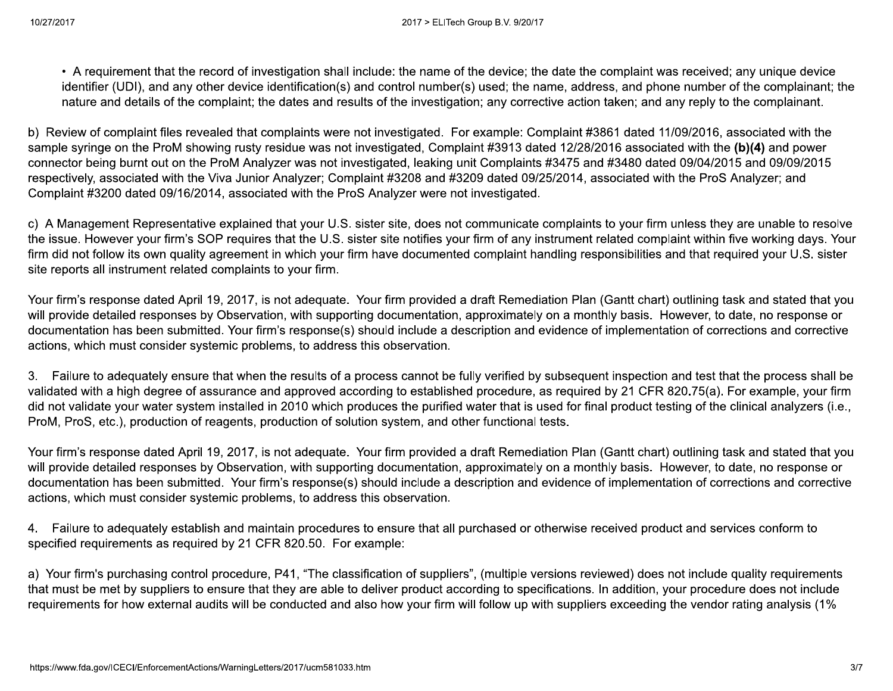• A requirement that the record of investigation shall include: the name of the device; the date the complaint was received; any unique device identifier (UDI), and any other device identification(s) and control number(s) used; the name, address, and phone number of the complainant; the nature and details of the complaint; the dates and results of the investigation; any corrective action taken; and any reply to the complainant.

b) Review of complaint files revealed that complaints were not investigated. For example: Complaint #3861 dated 11/09/2016, associated with the sample syringe on the ProM showing rusty residue was not investigated, Complaint #3913 dated 12/28/2016 associated with the (b)(4) and power connector being burnt out on the ProM Analyzer was not investigated, leaking unit Complaints #3475 and #3480 dated 09/04/2015 and 09/09/2015 respectively, associated with the Viva Junior Analyzer; Complaint #3208 and #3209 dated 09/25/2014, associated with the ProS Analyzer; and Complaint #3200 dated 09/16/2014, associated with the ProS Analyzer were not investigated.

c) A Management Representative explained that your U.S. sister site, does not communicate complaints to your firm unless they are unable to resolve the issue. However your firm's SOP requires that the U.S. sister site notifies your firm of any instrument related complaint within five working days. Your firm did not follow its own quality agreement in which your firm have documented complaint handling responsibilities and that required your U.S. sister site reports all instrument related complaints to your firm.

Your firm's response dated April 19, 2017, is not adequate. Your firm provided a draft Remediation Plan (Gantt chart) outlining task and stated that you will provide detailed responses by Observation, with supporting documentation, approximately on a monthly basis. However, to date, no response or documentation has been submitted. Your firm's response(s) should include a description and evidence of implementation of corrections and corrective actions, which must consider systemic problems, to address this observation.

3. Failure to adequately ensure that when the results of a process cannot be fully verified by subsequent inspection and test that the process shall be validated with a high degree of assurance and approved according to established procedure, as required by 21 CFR 820.75(a). For example, your firm did not validate your water system installed in 2010 which produces the purified water that is used for final product testing of the clinical analyzers (i.e., ProM, ProS, etc.), production of reagents, production of solution system, and other functional tests.

Your firm's response dated April 19, 2017, is not adequate. Your firm provided a draft Remediation Plan (Gantt chart) outlining task and stated that you will provide detailed responses by Observation, with supporting documentation, approximately on a monthly basis. However, to date, no response or documentation has been submitted. Your firm's response(s) should include a description and evidence of implementation of corrections and corrective actions, which must consider systemic problems, to address this observation.

4. Failure to adequately establish and maintain procedures to ensure that all purchased or otherwise received product and services conform to specified requirements as required by 21 CFR 820.50. For example:

a) Your firm's purchasing control procedure, P41, "The classification of suppliers", (multiple versions reviewed) does not include quality requirements that must be met by suppliers to ensure that they are able to deliver product according to specifications. In addition, your procedure does not include requirements for how external audits will be conducted and also how your firm will follow up with suppliers exceeding the vendor rating analysis (1%)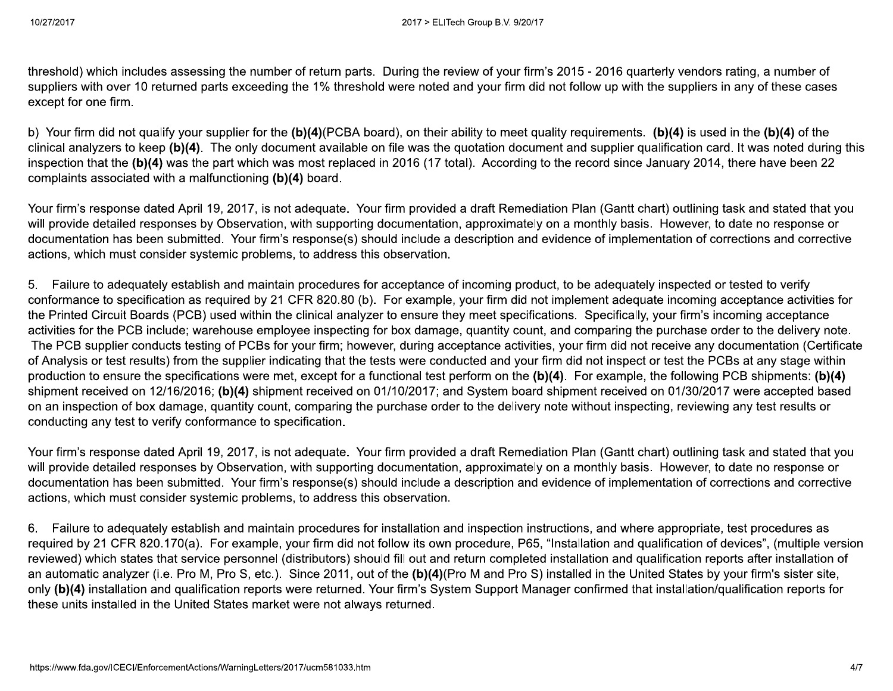threshold) which includes assessing the number of return parts. During the review of your firm's 2015 - 2016 quarterly vendors rating, a number of suppliers with over 10 returned parts exceeding the 1% threshold were noted and your firm did not follow up with the suppliers in any of these cases except for one firm.

b) Your firm did not qualify your supplier for the (b)(4)(PCBA board), on their ability to meet quality requirements. (b)(4) is used in the (b)(4) of the clinical analyzers to keep (b)(4). The only document available on file was the quotation document and supplier qualification card. It was noted during this inspection that the (b)(4) was the part which was most replaced in 2016 (17 total). According to the record since January 2014, there have been 22 complaints associated with a malfunctioning (b)(4) board.

Your firm's response dated April 19, 2017, is not adequate. Your firm provided a draft Remediation Plan (Gantt chart) outlining task and stated that you will provide detailed responses by Observation, with supporting documentation, approximately on a monthly basis. However, to date no response or documentation has been submitted. Your firm's response(s) should include a description and evidence of implementation of corrections and corrective actions, which must consider systemic problems, to address this observation.

5. Failure to adequately establish and maintain procedures for acceptance of incoming product, to be adequately inspected or tested to verify conformance to specification as required by 21 CFR 820.80 (b). For example, your firm did not implement adequate incoming acceptance activities for the Printed Circuit Boards (PCB) used within the clinical analyzer to ensure they meet specifications. Specifically, your firm's incoming acceptance activities for the PCB include; warehouse employee inspecting for box damage, quantity count, and comparing the purchase order to the delivery note. The PCB supplier conducts testing of PCBs for your firm; however, during acceptance activities, your firm did not receive any documentation (Certificate of Analysis or test results) from the supplier indicating that the tests were conducted and your firm did not inspect or test the PCBs at any stage within production to ensure the specifications were met, except for a functional test perform on the (b)(4). For example, the following PCB shipments: (b)(4) shipment received on 12/16/2016; (b)(4) shipment received on 01/10/2017; and System board shipment received on 01/30/2017 were accepted based on an inspection of box damage, quantity count, comparing the purchase order to the delivery note without inspecting, reviewing any test results or conducting any test to verify conformance to specification.

Your firm's response dated April 19, 2017, is not adequate. Your firm provided a draft Remediation Plan (Gantt chart) outlining task and stated that you will provide detailed responses by Observation, with supporting documentation, approximately on a monthly basis. However, to date no response or documentation has been submitted. Your firm's response(s) should include a description and evidence of implementation of corrections and corrective actions, which must consider systemic problems, to address this observation.

6. Failure to adequately establish and maintain procedures for installation and inspection instructions, and where appropriate, test procedures as required by 21 CFR 820.170(a). For example, your firm did not follow its own procedure, P65, "Installation and qualification of devices", (multiple version reviewed) which states that service personnel (distributors) should fill out and return completed installation and qualification reports after installation of an automatic analyzer (i.e. Pro M, Pro S, etc.). Since 2011, out of the (b)(4)(Pro M and Pro S) installed in the United States by your firm's sister site, only (b)(4) installation and qualification reports were returned. Your firm's System Support Manager confirmed that installation/qualification reports for these units installed in the United States market were not always returned.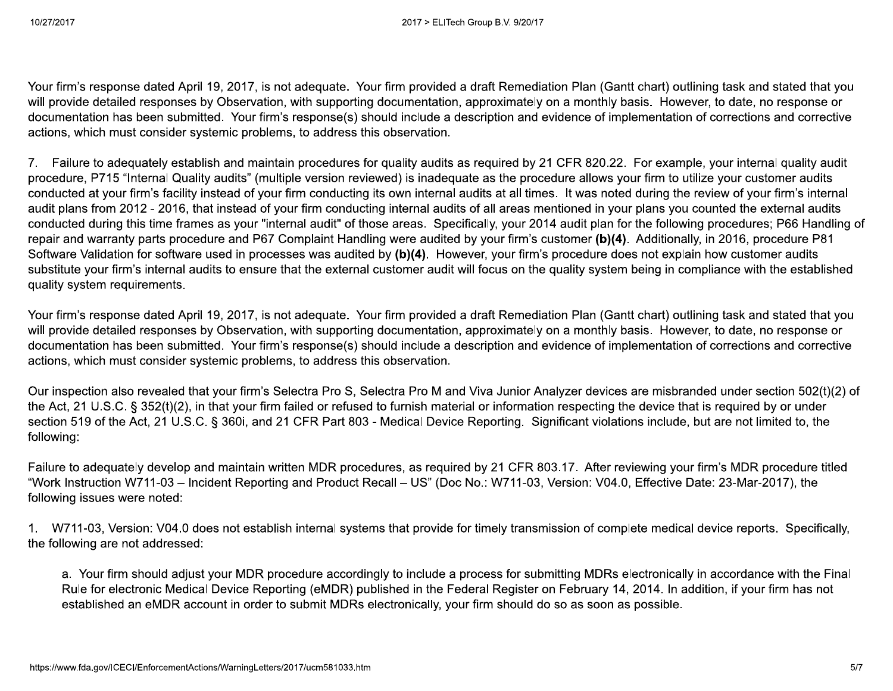Your firm's response dated April 19, 2017, is not adequate. Your firm provided a draft Remediation Plan (Gantt chart) outlining task and stated that you will provide detailed responses by Observation, with supporting documentation, approximately on a monthly basis. However, to date, no response or documentation has been submitted. Your firm's response(s) should include a description and evidence of implementation of corrections and corrective actions, which must consider systemic problems, to address this observation.

7. Failure to adequately establish and maintain procedures for quality audits as required by 21 CFR 820.22. For example, your internal quality audit procedure, P715 "Internal Quality audits" (multiple version reviewed) is inadequate as the procedure allows your firm to utilize your customer audits conducted at your firm's facility instead of your firm conducting its own internal audits at all times. It was noted during the review of your firm's internal audit plans from 2012 - 2016, that instead of your firm conducting internal audits of all areas mentioned in your plans you counted the external audits conducted during this time frames as your "internal audit" of those areas. Specifically, your 2014 audit plan for the following procedures; P66 Handling of repair and warranty parts procedure and P67 Complaint Handling were audited by your firm's customer (b)(4). Additionally, in 2016, procedure P81 Software Validation for software used in processes was audited by (b)(4). However, your firm's procedure does not explain how customer audits substitute your firm's internal audits to ensure that the external customer audit will focus on the quality system being in compliance with the established quality system requirements.

Your firm's response dated April 19, 2017, is not adequate. Your firm provided a draft Remediation Plan (Gantt chart) outlining task and stated that you will provide detailed responses by Observation, with supporting documentation, approximately on a monthly basis. However, to date, no response or documentation has been submitted. Your firm's response(s) should include a description and evidence of implementation of corrections and corrective actions, which must consider systemic problems, to address this observation.

Our inspection also revealed that your firm's Selectra Pro S, Selectra Pro M and Viva Junior Analyzer devices are misbranded under section 502(t)(2) of the Act, 21 U.S.C. § 352(t)(2), in that your firm failed or refused to furnish material or information respecting the device that is required by or under section 519 of the Act, 21 U.S.C. § 360i, and 21 CFR Part 803 - Medical Device Reporting. Significant violations include, but are not limited to, the following:

Failure to adequately develop and maintain written MDR procedures, as required by 21 CFR 803.17. After reviewing your firm's MDR procedure titled "Work Instruction W711-03 - Incident Reporting and Product Recall - US" (Doc No.: W711-03, Version: V04.0, Effective Date: 23-Mar-2017), the following issues were noted:

1. W711-03, Version: V04.0 does not establish internal systems that provide for timely transmission of complete medical device reports. Specifically, the following are not addressed:

a. Your firm should adjust your MDR procedure accordingly to include a process for submitting MDRs electronically in accordance with the Final Rule for electronic Medical Device Reporting (eMDR) published in the Federal Register on February 14, 2014. In addition, if your firm has not established an eMDR account in order to submit MDRs electronically, your firm should do so as soon as possible.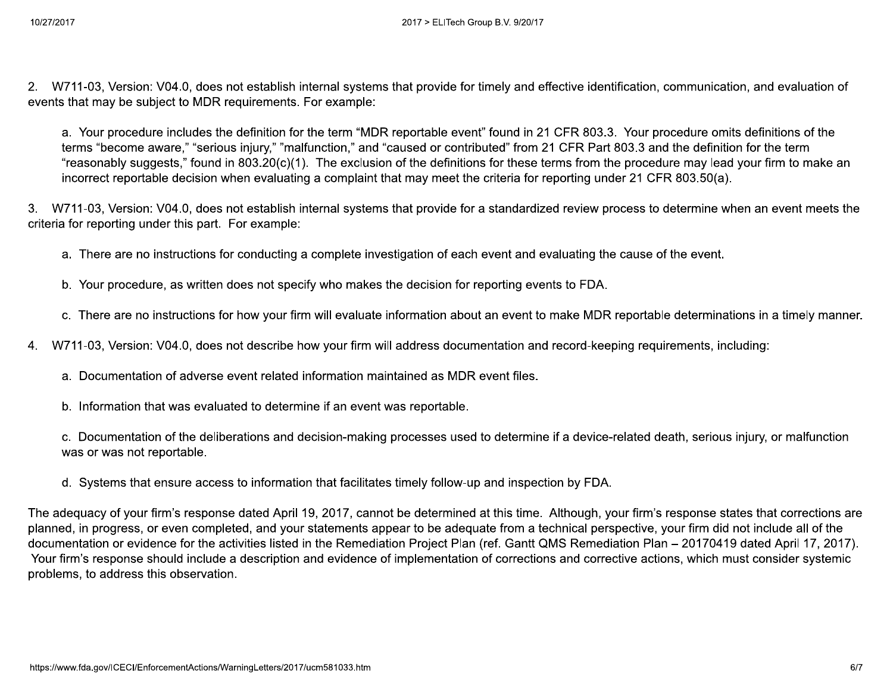2. W711-03, Version: V04.0, does not establish internal systems that provide for timely and effective identification, communication, and evaluation of events that may be subject to MDR requirements. For example:

a. Your procedure includes the definition for the term "MDR reportable event" found in 21 CFR 803.3. Your procedure omits definitions of the terms "become aware," "serious injury," "malfunction," and "caused or contributed" from 21 CFR Part 803.3 and the definition for the term "reasonably suggests," found in 803.20(c)(1). The exclusion of the definitions for these terms from the procedure may lead your firm to make an incorrect reportable decision when evaluating a complaint that may meet the criteria for reporting under 21 CFR 803.50(a).

3. W711-03, Version: V04.0, does not establish internal systems that provide for a standardized review process to determine when an event meets the criteria for reporting under this part. For example:

- a. There are no instructions for conducting a complete investigation of each event and evaluating the cause of the event.
- b. Your procedure, as written does not specify who makes the decision for reporting events to FDA.
- c. There are no instructions for how your firm will evaluate information about an event to make MDR reportable determinations in a timely manner.
- W711-03, Version: V04.0, does not describe how your firm will address documentation and record-keeping requirements, including:  $4<sub>1</sub>$ 
	- a. Documentation of adverse event related information maintained as MDR event files.
	- b. Information that was evaluated to determine if an event was reportable.

c. Documentation of the deliberations and decision-making processes used to determine if a device-related death, serious injury, or malfunction was or was not reportable.

d. Systems that ensure access to information that facilitates timely follow-up and inspection by FDA.

The adequacy of your firm's response dated April 19, 2017, cannot be determined at this time. Although, your firm's response states that corrections are planned, in progress, or even completed, and your statements appear to be adequate from a technical perspective, your firm did not include all of the documentation or evidence for the activities listed in the Remediation Project Plan (ref. Gantt QMS Remediation Plan – 20170419 dated April 17, 2017). Your firm's response should include a description and evidence of implementation of corrections and corrective actions, which must consider systemic problems, to address this observation.